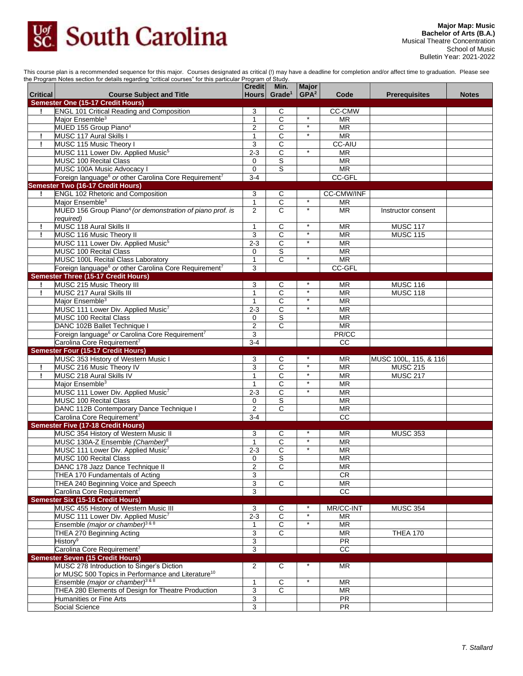

This course plan is a recommended sequence for this major. Courses designated as critical (!) may have a deadline for completion and/or affect time to graduation. Please see the Program Notes section for details regarding "critical courses" for this particular Program of Study.

| <b>Critical</b> |                                                                                    | <b>Credit</b><br><b>Hours</b> | Min.<br>Grade <sup>1</sup> | <b>Major</b><br>GPA <sup>2</sup> | Code                     | <b>Prerequisites</b>  |              |
|-----------------|------------------------------------------------------------------------------------|-------------------------------|----------------------------|----------------------------------|--------------------------|-----------------------|--------------|
|                 | <b>Course Subject and Title</b><br><b>Semester One (15-17 Credit Hours)</b>        |                               |                            |                                  |                          |                       | <b>Notes</b> |
| Ţ.              | <b>ENGL 101 Critical Reading and Composition</b>                                   | 3                             | С                          |                                  | <b>CC-CMW</b>            |                       |              |
|                 | Major Ensemble <sup>3</sup>                                                        | $\mathbf{1}$                  | $\overline{c}$             | $\ast$                           | <b>MR</b>                |                       |              |
|                 | MUED 155 Group Piano <sup>4</sup>                                                  | $\overline{2}$                | C                          | $^\star$                         | <b>MR</b>                |                       |              |
| T               | MUSC 117 Aural Skills I                                                            | $\mathbf{1}$                  | $\overline{c}$             | $^\star$                         | $\overline{\mathsf{MR}}$ |                       |              |
| Ţ               | MUSC 115 Music Theory I                                                            | 3                             | C                          |                                  | CC-AIU                   |                       |              |
|                 | MUSC 111 Lower Div. Applied Music <sup>5</sup>                                     | $2 - 3$                       | $\overline{c}$             | $\star$                          | <b>MR</b>                |                       |              |
|                 | <b>MUSC 100 Recital Class</b>                                                      | $\mathbf 0$                   | S                          |                                  | <b>MR</b>                |                       |              |
|                 | MUSC 100A Music Advocacy I                                                         | $\mathbf 0$                   | $\overline{s}$             |                                  | <b>MR</b>                |                       |              |
|                 | Foreign language <sup>6</sup> or other Carolina Core Requirement <sup>7</sup>      | $3 - 4$                       |                            |                                  | CC-GFL                   |                       |              |
|                 | Semester Two (16-17 Credit Hours)                                                  |                               |                            |                                  |                          |                       |              |
|                 | <b>ENGL 102 Rhetoric and Composition</b>                                           | 3                             | C                          | $\star$                          | CC-CMW/INF               |                       |              |
|                 | Major Ensemble <sup>3</sup>                                                        | $\mathbf{1}$                  | $\overline{c}$             | $\star$                          | <b>MR</b>                |                       |              |
|                 | MUED 156 Group Piano <sup>4</sup> (or demonstration of piano prof. is<br>required) | $\overline{2}$                | C                          |                                  | <b>MR</b>                | Instructor consent    |              |
| Ţ               | MUSC 118 Aural Skills II                                                           | 1                             | С                          | $\star$                          | <b>MR</b>                | <b>MUSC 117</b>       |              |
| Ţ               | MUSC 116 Music Theory II                                                           | 3                             | C                          | $\star$                          | <b>MR</b>                | <b>MUSC 115</b>       |              |
|                 | MUSC 111 Lower Div. Applied Music <sup>5</sup>                                     | $2 - 3$                       | $\overline{C}$             | $\star$                          | <b>MR</b>                |                       |              |
|                 | MUSC 100 Recital Class                                                             | 0                             | S                          |                                  | <b>MR</b>                |                       |              |
|                 | MUSC 100L Recital Class Laboratory                                                 | $\mathbf{1}$                  | $\overline{\text{c}}$      | $\star$                          | <b>MR</b>                |                       |              |
|                 | Foreign language <sup>6</sup> or other Carolina Core Requirement <sup>7</sup>      | 3                             |                            |                                  | CC-GFL                   |                       |              |
|                 | Semester Three (15-17 Credit Hours)                                                |                               |                            |                                  |                          |                       |              |
| I.              | MUSC 215 Music Theory III                                                          | 3                             | C                          |                                  | <b>MR</b>                | <b>MUSC 116</b>       |              |
| Ţ               | MUSC 217 Aural Skills III                                                          | $\mathbf{1}$                  | C                          |                                  | <b>MR</b>                | <b>MUSC 118</b>       |              |
|                 | Major Ensemble <sup>3</sup>                                                        | $\mathbf{1}$                  | $\overline{C}$             | $\star$                          | <b>MR</b>                |                       |              |
|                 | MUSC 111 Lower Div. Applied Music <sup>7</sup>                                     | $2 - 3$                       | $\overline{C}$             | $\star$                          | <b>MR</b>                |                       |              |
|                 | MUSC 100 Recital Class                                                             | 0                             | S                          |                                  | <b>MR</b>                |                       |              |
|                 | DANC 102B Ballet Technique I                                                       | $\overline{2}$                | $\overline{\text{c}}$      |                                  | $\overline{\text{MR}}$   |                       |              |
|                 | Foreign language <sup>6</sup> or Carolina Core Requirement <sup>7</sup>            | 3                             |                            |                                  | PR/CC                    |                       |              |
|                 | Carolina Core Requirement <sup>7</sup>                                             | $3 - 4$                       |                            |                                  | CC                       |                       |              |
|                 | <b>Semester Four (15-17 Credit Hours)</b>                                          |                               |                            |                                  |                          |                       |              |
|                 | MUSC 353 History of Western Music I                                                | 3                             | С                          |                                  | ΜR                       | MUSC 100L, 115, & 116 |              |
| Ţ               | MUSC 216 Music Theory IV                                                           | 3                             | $\overline{\text{c}}$      | $\star$                          | <b>MR</b>                | <b>MUSC 215</b>       |              |
| Ţ               | MUSC 218 Aural Skills IV                                                           | $\mathbf{1}$                  | C                          | $\star$                          | <b>MR</b>                | <b>MUSC 217</b>       |              |
|                 | Major Ensemble <sup>3</sup>                                                        | $\mathbf{1}$                  | C                          | $^\star$                         | <b>MR</b>                |                       |              |
|                 | MUSC 111 Lower Div. Applied Music7                                                 | $2 - 3$                       | C                          | $\star$                          | <b>MR</b>                |                       |              |
|                 | <b>MUSC 100 Recital Class</b>                                                      | 0                             | S                          |                                  | $\overline{\text{MR}}$   |                       |              |
|                 | DANC 112B Contemporary Dance Technique I                                           | $\overline{c}$                | $\overline{\mathsf{C}}$    |                                  | <b>MR</b>                |                       |              |
|                 | Carolina Core Requirement <sup>7</sup>                                             | $3 - 4$                       |                            |                                  | <b>CC</b>                |                       |              |
|                 | <b>Semester Five (17-18 Credit Hours)</b>                                          |                               |                            |                                  |                          |                       |              |
|                 | MUSC 354 History of Western Music II                                               | 3                             | C                          | $\star$                          | <b>MR</b>                | <b>MUSC 353</b>       |              |
|                 | MUSC 130A-Z Ensemble (Chamber) <sup>8</sup>                                        | $\mathbf{1}$                  | C                          | $\star$                          | <b>MR</b>                |                       |              |
|                 | MUSC 111 Lower Div. Applied Music <sup>7</sup><br><b>MUSC 100 Recital Class</b>    | $2 - 3$<br>$\mathbf 0$        | С<br>S                     |                                  | <b>MR</b><br><b>MR</b>   |                       |              |
|                 |                                                                                    |                               |                            |                                  |                          |                       |              |
|                 | DANC 178 Jazz Dance Technique II<br>THEA 170 Fundamentals of Acting                | 2<br>3                        | С                          |                                  | ΜR<br>CR                 |                       |              |
|                 | THEA 240 Beginning Voice and Speech                                                | 3                             | $\overline{C}$             |                                  | MR                       |                       |              |
|                 | Carolina Core Requirement <sup>7</sup>                                             | 3                             |                            |                                  | $\overline{cc}$          |                       |              |
|                 | Semester Six (15-16 Credit Hours)                                                  |                               |                            |                                  |                          |                       |              |
|                 | MUSC 455 History of Western Music III                                              | 3                             | С                          |                                  | MR/CC-INT                | <b>MUSC 354</b>       |              |
|                 | MUSC 111 Lower Div. Applied Music <sup>7</sup>                                     | $2 - 3$                       | $\overline{\mathsf{C}}$    |                                  | <b>MR</b>                |                       |              |
|                 | Ensemble (major or chamber) <sup>3 &amp; 8</sup>                                   | $\mathbf{1}$                  | $\overline{c}$             | $\star$                          | <b>MR</b>                |                       |              |
|                 | THEA 270 Beginning Acting                                                          | 3                             | C                          |                                  | <b>MR</b>                | <b>THEA 170</b>       |              |
|                 | History <sup>9</sup>                                                               | 3                             |                            |                                  | PR                       |                       |              |
|                 | Carolina Core Requirement <sup>7</sup>                                             | 3                             |                            |                                  | $\overline{cc}$          |                       |              |
|                 | <b>Semester Seven (15 Credit Hours)</b>                                            |                               |                            |                                  |                          |                       |              |
|                 | MUSC 278 Introduction to Singer's Diction                                          | $\overline{\mathbf{c}}$       | C                          |                                  | <b>MR</b>                |                       |              |
|                 | or MUSC 500 Topics in Performance and Literature <sup>10</sup>                     |                               |                            |                                  |                          |                       |              |
|                 | Ensemble (major or chamber) <sup>3 &amp; 8</sup>                                   | $\mathbf{1}$                  | $\overline{c}$             | $\star$                          | <b>MR</b>                |                       |              |
|                 | THEA 280 Elements of Design for Theatre Production                                 | 3                             | $\mathbf C$                |                                  | <b>MR</b>                |                       |              |
|                 | <b>Humanities or Fine Arts</b>                                                     | 3                             |                            |                                  | PR                       |                       |              |
|                 | Social Science                                                                     | 3                             |                            |                                  | <b>PR</b>                |                       |              |